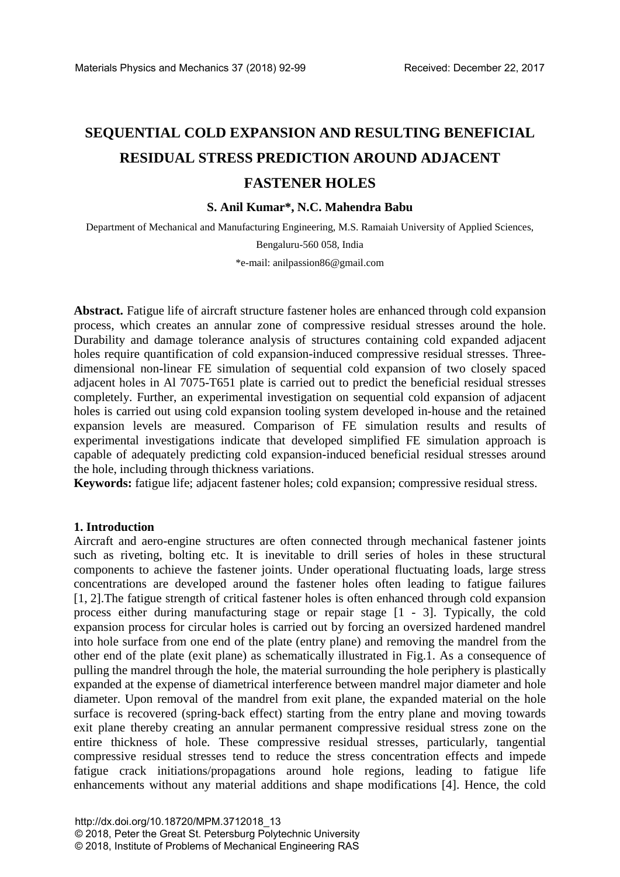# **SEQUENTIAL COLD EXPANSION AND RESULTING BENEFICIAL RESIDUAL STRESS PREDICTION AROUND ADJACENT FASTENER HOLES**

## **S. Anil Kumar\*, N.C. Mahendra Babu**

Department of Mechanical and Manufacturing Engineering, M.S. Ramaiah University of Applied Sciences,

Bengaluru-560 058, India

\*e-mail: anilpassion86@gmail.com

**Abstract.** Fatigue life of aircraft structure fastener holes are enhanced through cold expansion process, which creates an annular zone of compressive residual stresses around the hole. Durability and damage tolerance analysis of structures containing cold expanded adjacent holes require quantification of cold expansion-induced compressive residual stresses. Threedimensional non-linear FE simulation of sequential cold expansion of two closely spaced adjacent holes in Al 7075-T651 plate is carried out to predict the beneficial residual stresses completely. Further, an experimental investigation on sequential cold expansion of adjacent holes is carried out using cold expansion tooling system developed in-house and the retained expansion levels are measured. Comparison of FE simulation results and results of experimental investigations indicate that developed simplified FE simulation approach is capable of adequately predicting cold expansion-induced beneficial residual stresses around the hole, including through thickness variations.

**Keywords:** fatigue life; adjacent fastener holes; cold expansion; compressive residual stress.

### **1. Introduction**

Aircraft and aero-engine structures are often connected through mechanical fastener joints such as riveting, bolting etc. It is inevitable to drill series of holes in these structural components to achieve the fastener joints. Under operational fluctuating loads, large stress concentrations are developed around the fastener holes often leading to fatigue failures [1, 2].The fatigue strength of critical fastener holes is often enhanced through cold expansion process either during manufacturing stage or repair stage [1 - 3]. Typically, the cold expansion process for circular holes is carried out by forcing an oversized hardened mandrel into hole surface from one end of the plate (entry plane) and removing the mandrel from the other end of the plate (exit plane) as schematically illustrated in Fig.1. As a consequence of pulling the mandrel through the hole, the material surrounding the hole periphery is plastically expanded at the expense of diametrical interference between mandrel major diameter and hole diameter. Upon removal of the mandrel from exit plane, the expanded material on the hole surface is recovered (spring-back effect) starting from the entry plane and moving towards exit plane thereby creating an annular permanent compressive residual stress zone on the entire thickness of hole. These compressive residual stresses, particularly, tangential compressive residual stresses tend to reduce the stress concentration effects and impede fatigue crack initiations/propagations around hole regions, leading to fatigue life enhancements without any material additions and shape modifications [4]. Hence, the cold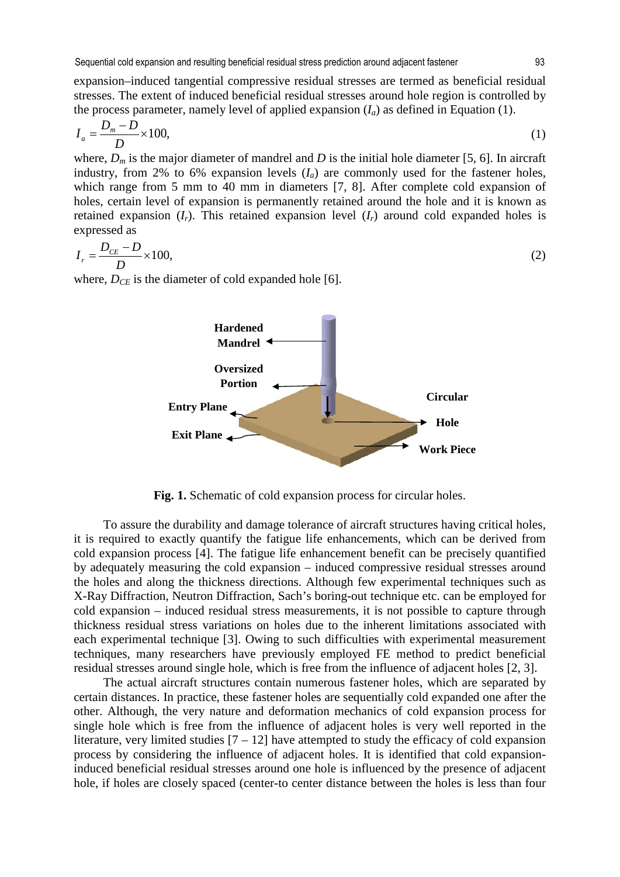expansion–induced tangential compressive residual stresses are termed as beneficial residual stresses. The extent of induced beneficial residual stresses around hole region is controlled by the process parameter, namely level of applied expansion  $(I_a)$  as defined in Equation (1).

$$
I_a = \frac{D_m - D}{D} \times 100,\tag{1}
$$

where,  $D_m$  is the major diameter of mandrel and *D* is the initial hole diameter [5, 6]. In aircraft industry, from 2% to 6% expansion levels  $(I_a)$  are commonly used for the fastener holes, which range from 5 mm to 40 mm in diameters [7, 8]. After complete cold expansion of holes, certain level of expansion is permanently retained around the hole and it is known as retained expansion  $(I_r)$ . This retained expansion level  $(I_r)$  around cold expanded holes is expressed as

$$
I_r = \frac{D_{CE} - D}{D} \times 100,\tag{2}
$$

where,  $D_{CE}$  is the diameter of cold expanded hole [6].



**Fig. 1.** Schematic of cold expansion process for circular holes.

To assure the durability and damage tolerance of aircraft structures having critical holes, it is required to exactly quantify the fatigue life enhancements, which can be derived from cold expansion process [4]. The fatigue life enhancement benefit can be precisely quantified by adequately measuring the cold expansion – induced compressive residual stresses around the holes and along the thickness directions. Although few experimental techniques such as X-Ray Diffraction, Neutron Diffraction, Sach's boring-out technique etc. can be employed for cold expansion – induced residual stress measurements, it is not possible to capture through thickness residual stress variations on holes due to the inherent limitations associated with each experimental technique [3]. Owing to such difficulties with experimental measurement techniques, many researchers have previously employed FE method to predict beneficial residual stresses around single hole, which is free from the influence of adjacent holes [2, 3].

The actual aircraft structures contain numerous fastener holes, which are separated by certain distances. In practice, these fastener holes are sequentially cold expanded one after the other. Although, the very nature and deformation mechanics of cold expansion process for single hole which is free from the influence of adjacent holes is very well reported in the literature, very limited studies  $[7 - 12]$  have attempted to study the efficacy of cold expansion process by considering the influence of adjacent holes. It is identified that cold expansioninduced beneficial residual stresses around one hole is influenced by the presence of adjacent hole, if holes are closely spaced (center-to center distance between the holes is less than four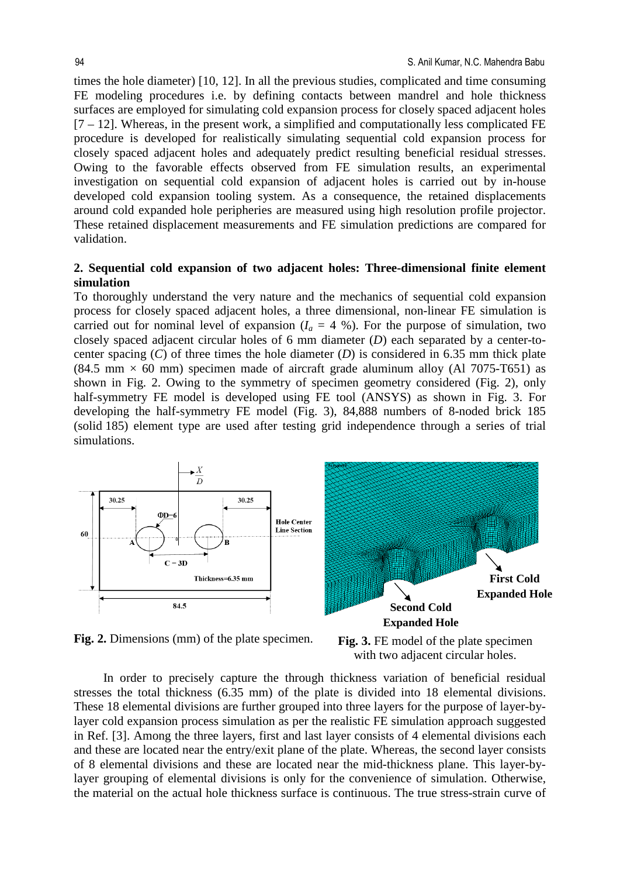times the hole diameter) [10, 12]. In all the previous studies, complicated and time consuming FE modeling procedures i.e. by defining contacts between mandrel and hole thickness surfaces are employed for simulating cold expansion process for closely spaced adjacent holes  $[7 - 12]$ . Whereas, in the present work, a simplified and computationally less complicated FE procedure is developed for realistically simulating sequential cold expansion process for closely spaced adjacent holes and adequately predict resulting beneficial residual stresses. Owing to the favorable effects observed from FE simulation results, an experimental investigation on sequential cold expansion of adjacent holes is carried out by in-house developed cold expansion tooling system. As a consequence, the retained displacements around cold expanded hole peripheries are measured using high resolution profile projector. These retained displacement measurements and FE simulation predictions are compared for validation.

## **2. Sequential cold expansion of two adjacent holes: Three-dimensional finite element simulation**

To thoroughly understand the very nature and the mechanics of sequential cold expansion process for closely spaced adjacent holes, a three dimensional, non-linear FE simulation is carried out for nominal level of expansion  $(I_a = 4 \%)$ . For the purpose of simulation, two closely spaced adjacent circular holes of 6 mm diameter (*D*) each separated by a center-tocenter spacing (*C*) of three times the hole diameter (*D*) is considered in 6.35 mm thick plate  $(84.5 \text{ mm} \times 60 \text{ mm})$  specimen made of aircraft grade aluminum alloy (Al 7075-T651) as shown in Fig. 2. Owing to the symmetry of specimen geometry considered (Fig. 2), only half-symmetry FE model is developed using FE tool (ANSYS) as shown in Fig. 3. For developing the half-symmetry FE model (Fig. 3), 84,888 numbers of 8-noded brick 185 (solid 185) element type are used after testing grid independence through a series of trial simulations.



**Fig. 2.** Dimensions (mm) of the plate specimen. **Fig. 3.** FE model of the plate specimen



In order to precisely capture the through thickness variation of beneficial residual stresses the total thickness (6.35 mm) of the plate is divided into 18 elemental divisions. These 18 elemental divisions are further grouped into three layers for the purpose of layer-bylayer cold expansion process simulation as per the realistic FE simulation approach suggested in Ref. [3]. Among the three layers, first and last layer consists of 4 elemental divisions each and these are located near the entry/exit plane of the plate. Whereas, the second layer consists of 8 elemental divisions and these are located near the mid-thickness plane. This layer-bylayer grouping of elemental divisions is only for the convenience of simulation. Otherwise, the material on the actual hole thickness surface is continuous. The true stress-strain curve of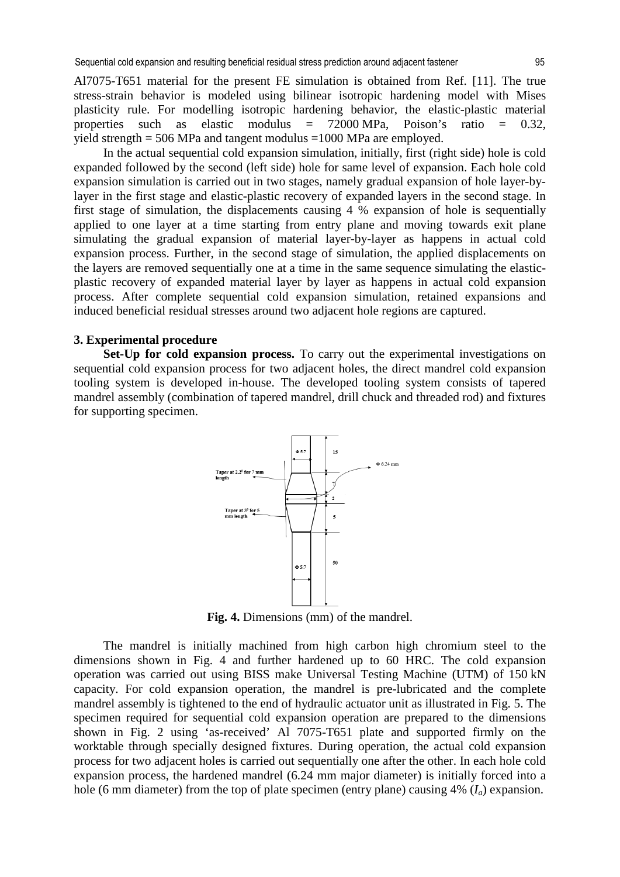In the actual sequential cold expansion simulation, initially, first (right side) hole is cold expanded followed by the second (left side) hole for same level of expansion. Each hole cold expansion simulation is carried out in two stages, namely gradual expansion of hole layer-bylayer in the first stage and elastic-plastic recovery of expanded layers in the second stage. In first stage of simulation, the displacements causing 4 % expansion of hole is sequentially applied to one layer at a time starting from entry plane and moving towards exit plane simulating the gradual expansion of material layer-by-layer as happens in actual cold expansion process. Further, in the second stage of simulation, the applied displacements on the layers are removed sequentially one at a time in the same sequence simulating the elasticplastic recovery of expanded material layer by layer as happens in actual cold expansion process. After complete sequential cold expansion simulation, retained expansions and induced beneficial residual stresses around two adjacent hole regions are captured.

## **3. Experimental procedure**

**Set-Up for cold expansion process.** To carry out the experimental investigations on sequential cold expansion process for two adjacent holes, the direct mandrel cold expansion tooling system is developed in-house. The developed tooling system consists of tapered mandrel assembly (combination of tapered mandrel, drill chuck and threaded rod) and fixtures for supporting specimen.



**Fig. 4.** Dimensions (mm) of the mandrel.

The mandrel is initially machined from high carbon high chromium steel to the dimensions shown in Fig. 4 and further hardened up to 60 HRC. The cold expansion operation was carried out using BISS make Universal Testing Machine (UTM) of 150 kN capacity. For cold expansion operation, the mandrel is pre-lubricated and the complete mandrel assembly is tightened to the end of hydraulic actuator unit as illustrated in Fig. 5. The specimen required for sequential cold expansion operation are prepared to the dimensions shown in Fig. 2 using 'as-received' Al 7075-T651 plate and supported firmly on the worktable through specially designed fixtures. During operation, the actual cold expansion process for two adjacent holes is carried out sequentially one after the other. In each hole cold expansion process, the hardened mandrel (6.24 mm major diameter) is initially forced into a hole (6 mm diameter) from the top of plate specimen (entry plane) causing 4% (*Ia*) expansion.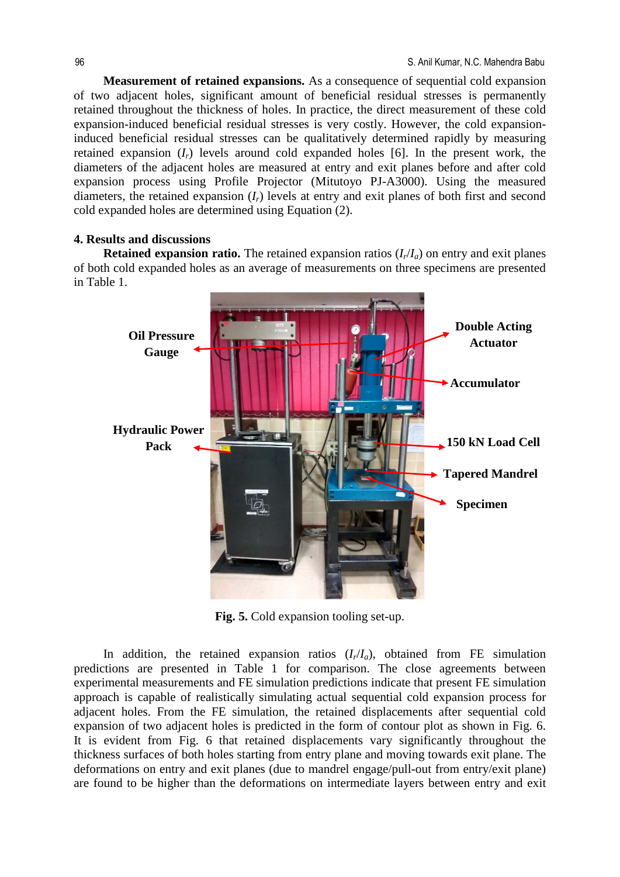**Measurement of retained expansions.** As a consequence of sequential cold expansion of two adjacent holes, significant amount of beneficial residual stresses is permanently retained throughout the thickness of holes. In practice, the direct measurement of these cold expansion-induced beneficial residual stresses is very costly. However, the cold expansioninduced beneficial residual stresses can be qualitatively determined rapidly by measuring retained expansion  $(I_r)$  levels around cold expanded holes [6]. In the present work, the diameters of the adjacent holes are measured at entry and exit planes before and after cold expansion process using Profile Projector (Mitutoyo PJ-A3000). Using the measured diameters, the retained expansion (*Ir*) levels at entry and exit planes of both first and second cold expanded holes are determined using Equation (2).

#### **4. Results and discussions**

**Retained expansion ratio.** The retained expansion ratios  $(I_r/I_a)$  on entry and exit planes of both cold expanded holes as an average of measurements on three specimens are presented in Table 1.



**Fig. 5.** Cold expansion tooling set-up.

In addition, the retained expansion ratios  $(I_r/I_a)$ , obtained from FE simulation predictions are presented in Table 1 for comparison. The close agreements between experimental measurements and FE simulation predictions indicate that present FE simulation approach is capable of realistically simulating actual sequential cold expansion process for adjacent holes. From the FE simulation, the retained displacements after sequential cold expansion of two adjacent holes is predicted in the form of contour plot as shown in Fig. 6. It is evident from Fig. 6 that retained displacements vary significantly throughout the thickness surfaces of both holes starting from entry plane and moving towards exit plane. The deformations on entry and exit planes (due to mandrel engage/pull-out from entry/exit plane) are found to be higher than the deformations on intermediate layers between entry and exit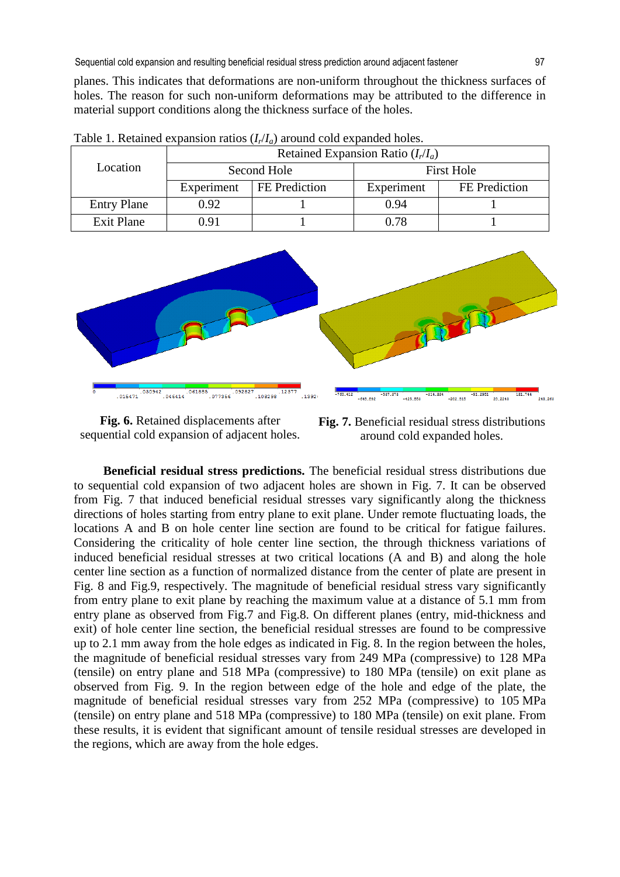planes. This indicates that deformations are non-uniform throughout the thickness surfaces of holes. The reason for such non-uniform deformations may be attributed to the difference in material support conditions along the thickness surface of the holes.

| Location           | Retained Expansion Ratio $(I_r/I_a)$ |               |                   |               |
|--------------------|--------------------------------------|---------------|-------------------|---------------|
|                    | Second Hole                          |               | <b>First Hole</b> |               |
|                    | Experiment                           | FE Prediction | Experiment        | FE Prediction |
| <b>Entry Plane</b> | 0.92                                 |               | 0.94              |               |
| <b>Exit Plane</b>  | 0.91                                 |               | 0.78              |               |

Table 1. Retained expansion ratios (*Ir*/*Ia*) around cold expanded holes.



**Fig. 6.** Retained displacements after sequential cold expansion of adjacent holes.

**Fig. 7.** Beneficial residual stress distributions around cold expanded holes.

**Beneficial residual stress predictions.** The beneficial residual stress distributions due to sequential cold expansion of two adjacent holes are shown in Fig. 7. It can be observed from Fig. 7 that induced beneficial residual stresses vary significantly along the thickness directions of holes starting from entry plane to exit plane. Under remote fluctuating loads, the locations A and B on hole center line section are found to be critical for fatigue failures. Considering the criticality of hole center line section, the through thickness variations of induced beneficial residual stresses at two critical locations (A and B) and along the hole center line section as a function of normalized distance from the center of plate are present in Fig. 8 and Fig.9, respectively. The magnitude of beneficial residual stress vary significantly from entry plane to exit plane by reaching the maximum value at a distance of 5.1 mm from entry plane as observed from Fig.7 and Fig.8. On different planes (entry, mid-thickness and exit) of hole center line section, the beneficial residual stresses are found to be compressive up to 2.1 mm away from the hole edges as indicated in Fig. 8. In the region between the holes, the magnitude of beneficial residual stresses vary from 249 MPa (compressive) to 128 MPa (tensile) on entry plane and 518 MPa (compressive) to 180 MPa (tensile) on exit plane as observed from Fig. 9. In the region between edge of the hole and edge of the plate, the magnitude of beneficial residual stresses vary from 252 MPa (compressive) to 105 MPa (tensile) on entry plane and 518 MPa (compressive) to 180 MPa (tensile) on exit plane. From these results, it is evident that significant amount of tensile residual stresses are developed in the regions, which are away from the hole edges.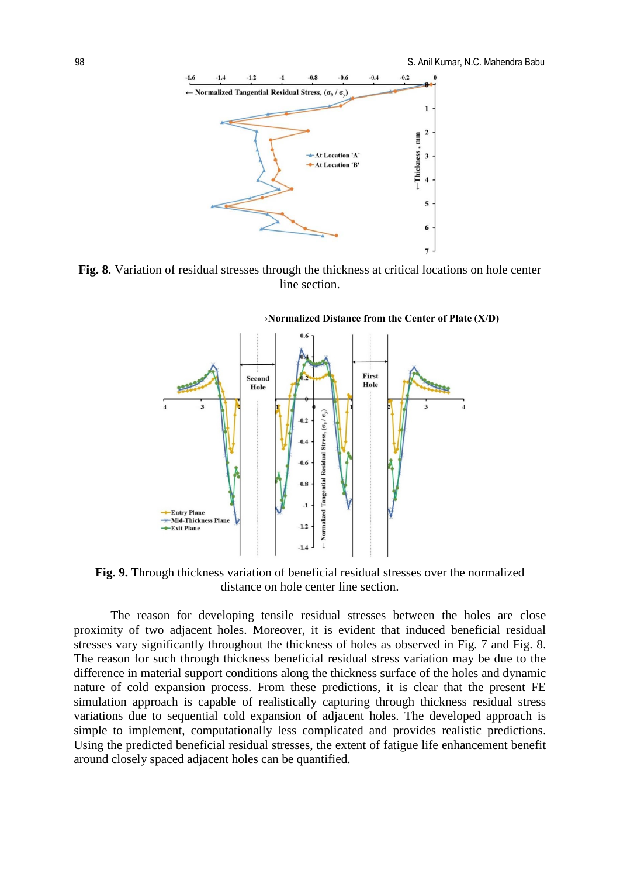



**Fig. 8**. Variation of residual stresses through the thickness at critical locations on hole center line section.

**→Normalized Distance from the Center of Plate (X/D)**



**Fig. 9.** Through thickness variation of beneficial residual stresses over the normalized distance on hole center line section.

The reason for developing tensile residual stresses between the holes are close proximity of two adjacent holes. Moreover, it is evident that induced beneficial residual stresses vary significantly throughout the thickness of holes as observed in Fig. 7 and Fig. 8. The reason for such through thickness beneficial residual stress variation may be due to the difference in material support conditions along the thickness surface of the holes and dynamic nature of cold expansion process. From these predictions, it is clear that the present FE simulation approach is capable of realistically capturing through thickness residual stress variations due to sequential cold expansion of adjacent holes. The developed approach is simple to implement, computationally less complicated and provides realistic predictions. Using the predicted beneficial residual stresses, the extent of fatigue life enhancement benefit around closely spaced adjacent holes can be quantified.